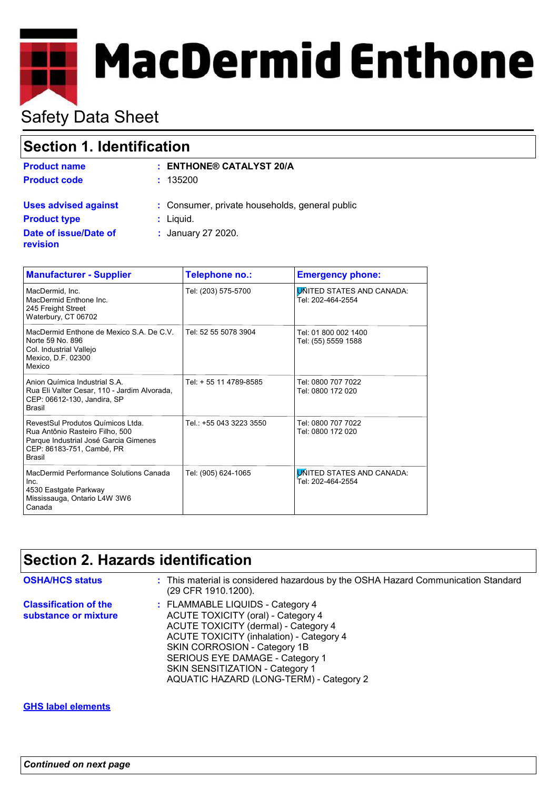# **MacDermid Enthone**

# Safety Data Sheet

| Section 1. Identification         |                                                |  |
|-----------------------------------|------------------------------------------------|--|
| <b>Product name</b>               | $:$ ENTHONE® CATALYST 20/A                     |  |
| <b>Product code</b>               | : 135200                                       |  |
| <b>Uses advised against</b>       | : Consumer, private households, general public |  |
| <b>Product type</b>               | $:$ Liquid.                                    |  |
| Date of issue/Date of<br>revision | : January 27 2020.                             |  |

| <b>Manufacturer - Supplier</b>                                                                                                                              | Telephone no.:          | <b>Emergency phone:</b>                               |
|-------------------------------------------------------------------------------------------------------------------------------------------------------------|-------------------------|-------------------------------------------------------|
| MacDermid. Inc.<br>MacDermid Enthone Inc.<br>245 Freight Street<br>Waterbury, CT 06702                                                                      | Tel: (203) 575-5700     | <b>UNITED STATES AND CANADA:</b><br>Tel: 202-464-2554 |
| MacDermid Enthone de Mexico S.A. De C.V.<br>Norte 59 No. 896<br>Col. Industrial Vallejo<br>Mexico, D.F. 02300<br>Mexico                                     | Tel: 52 55 5078 3904    | Tel: 01 800 002 1400<br>Tel: (55) 5559 1588           |
| Anion Química Industrial S A<br>Rua Eli Valter Cesar, 110 - Jardim Alvorada,<br>CEP: 06612-130, Jandira, SP<br>Brasil                                       | Tel: + 55 11 4789-8585  | Tel: 0800 707 7022<br>Tel: 0800 172 020               |
| RevestSul Produtos Químicos Ltda.<br>Rua Antônio Rasteiro Filho, 500<br>Parque Industrial José Garcia Gimenes<br>CEP: 86183-751, Cambé, PR<br><b>Brasil</b> | Tel.: +55 043 3223 3550 | Tel: 0800 707 7022<br>Tel: 0800 172 020               |
| MacDermid Performance Solutions Canada<br>Inc.<br>4530 Eastgate Parkway<br>Mississauga, Ontario L4W 3W6<br>Canada                                           | Tel: (905) 624-1065     | <b>UNITED STATES AND CANADA:</b><br>Tel: 202-464-2554 |

# **Section 2. Hazards identification**

| <b>OSHA/HCS status</b>                               | : This material is considered hazardous by the OSHA Hazard Communication Standard<br>(29 CFR 1910.1200).                                                                                                                                                                                                           |
|------------------------------------------------------|--------------------------------------------------------------------------------------------------------------------------------------------------------------------------------------------------------------------------------------------------------------------------------------------------------------------|
| <b>Classification of the</b><br>substance or mixture | : FLAMMABLE LIQUIDS - Category 4<br>ACUTE TOXICITY (oral) - Category 4<br>ACUTE TOXICITY (dermal) - Category 4<br><b>ACUTE TOXICITY (inhalation) - Category 4</b><br>SKIN CORROSION - Category 1B<br>SERIOUS EYE DAMAGE - Category 1<br>SKIN SENSITIZATION - Category 1<br>AQUATIC HAZARD (LONG-TERM) - Category 2 |

### **GHS label elements**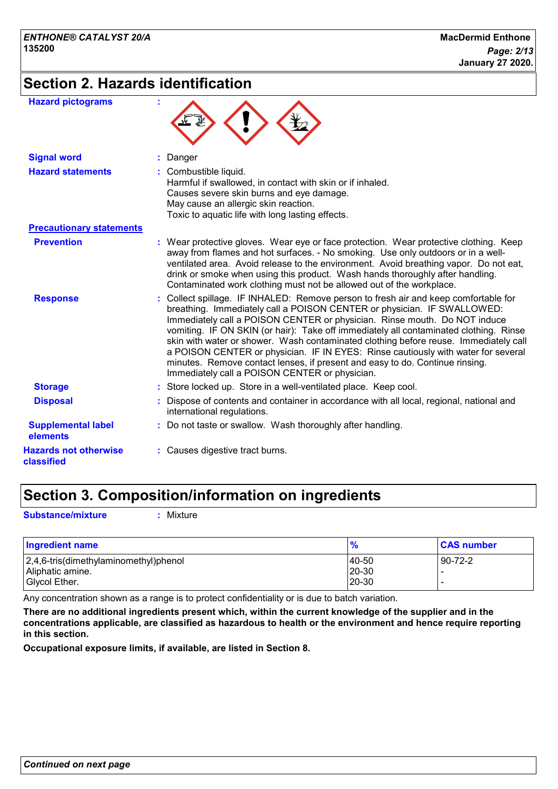# **Section 2. Hazards identification**

| <b>Hazard pictograms</b>                   |                                                                                                                                                                                                                                                                                                                                                                                                                                                                                                                                                                                                                                                   |
|--------------------------------------------|---------------------------------------------------------------------------------------------------------------------------------------------------------------------------------------------------------------------------------------------------------------------------------------------------------------------------------------------------------------------------------------------------------------------------------------------------------------------------------------------------------------------------------------------------------------------------------------------------------------------------------------------------|
| <b>Signal word</b>                         | : Danger                                                                                                                                                                                                                                                                                                                                                                                                                                                                                                                                                                                                                                          |
| <b>Hazard statements</b>                   | : Combustible liquid.<br>Harmful if swallowed, in contact with skin or if inhaled.<br>Causes severe skin burns and eye damage.<br>May cause an allergic skin reaction.<br>Toxic to aquatic life with long lasting effects.                                                                                                                                                                                                                                                                                                                                                                                                                        |
| <b>Precautionary statements</b>            |                                                                                                                                                                                                                                                                                                                                                                                                                                                                                                                                                                                                                                                   |
| <b>Prevention</b>                          | : Wear protective gloves. Wear eye or face protection. Wear protective clothing. Keep<br>away from flames and hot surfaces. - No smoking. Use only outdoors or in a well-<br>ventilated area. Avoid release to the environment. Avoid breathing vapor. Do not eat,<br>drink or smoke when using this product. Wash hands thoroughly after handling.<br>Contaminated work clothing must not be allowed out of the workplace.                                                                                                                                                                                                                       |
| <b>Response</b>                            | Collect spillage. IF INHALED: Remove person to fresh air and keep comfortable for<br>breathing. Immediately call a POISON CENTER or physician. IF SWALLOWED:<br>Immediately call a POISON CENTER or physician. Rinse mouth. Do NOT induce<br>vomiting. IF ON SKIN (or hair): Take off immediately all contaminated clothing. Rinse<br>skin with water or shower. Wash contaminated clothing before reuse. Immediately call<br>a POISON CENTER or physician. IF IN EYES: Rinse cautiously with water for several<br>minutes. Remove contact lenses, if present and easy to do. Continue rinsing.<br>Immediately call a POISON CENTER or physician. |
| <b>Storage</b>                             | : Store locked up. Store in a well-ventilated place. Keep cool.                                                                                                                                                                                                                                                                                                                                                                                                                                                                                                                                                                                   |
| <b>Disposal</b>                            | Dispose of contents and container in accordance with all local, regional, national and<br>international regulations.                                                                                                                                                                                                                                                                                                                                                                                                                                                                                                                              |
| <b>Supplemental label</b><br>elements      | : Do not taste or swallow. Wash thoroughly after handling.                                                                                                                                                                                                                                                                                                                                                                                                                                                                                                                                                                                        |
| <b>Hazards not otherwise</b><br>classified | : Causes digestive tract burns.                                                                                                                                                                                                                                                                                                                                                                                                                                                                                                                                                                                                                   |

# **Section 3. Composition/information on ingredients**

**Substance/mixture :** Mixture

| <b>Ingredient name</b>                | $\frac{9}{6}$ | <b>CAS number</b> |
|---------------------------------------|---------------|-------------------|
| 2,4,6-tris(dimethylaminomethyl)phenol | 40-50         | $90 - 72 - 2$     |
| Aliphatic amine.                      | 20-30         |                   |
| Givcol Ether.                         | 20-30         | -                 |

Any concentration shown as a range is to protect confidentiality or is due to batch variation.

**There are no additional ingredients present which, within the current knowledge of the supplier and in the concentrations applicable, are classified as hazardous to health or the environment and hence require reporting in this section.**

**Occupational exposure limits, if available, are listed in Section 8.**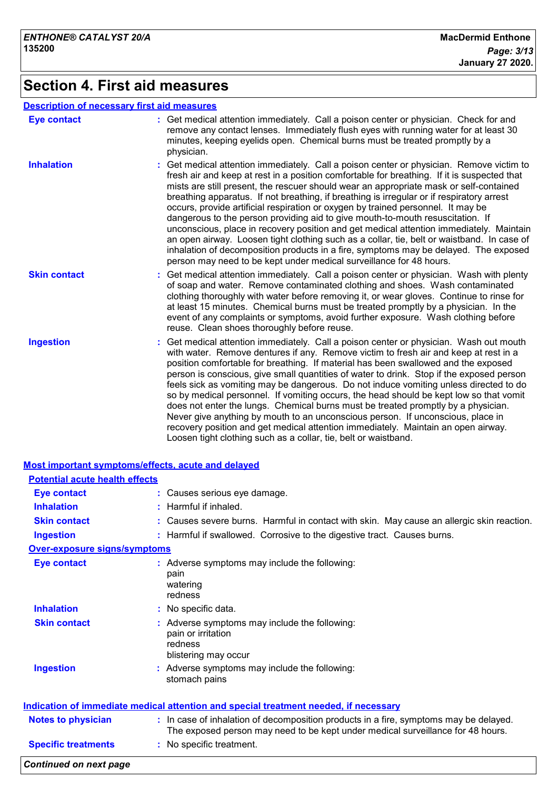# **Section 4. First aid measures**

## **Description of necessary first aid measures**

| <b>Eye contact</b>  | : Get medical attention immediately. Call a poison center or physician. Check for and<br>remove any contact lenses. Immediately flush eyes with running water for at least 30<br>minutes, keeping eyelids open. Chemical burns must be treated promptly by a<br>physician.                                                                                                                                                                                                                                                                                                                                                                                                                                                                                                                                                                                                                                   |
|---------------------|--------------------------------------------------------------------------------------------------------------------------------------------------------------------------------------------------------------------------------------------------------------------------------------------------------------------------------------------------------------------------------------------------------------------------------------------------------------------------------------------------------------------------------------------------------------------------------------------------------------------------------------------------------------------------------------------------------------------------------------------------------------------------------------------------------------------------------------------------------------------------------------------------------------|
| <b>Inhalation</b>   | : Get medical attention immediately. Call a poison center or physician. Remove victim to<br>fresh air and keep at rest in a position comfortable for breathing. If it is suspected that<br>mists are still present, the rescuer should wear an appropriate mask or self-contained<br>breathing apparatus. If not breathing, if breathing is irregular or if respiratory arrest<br>occurs, provide artificial respiration or oxygen by trained personnel. It may be<br>dangerous to the person providing aid to give mouth-to-mouth resuscitation. If<br>unconscious, place in recovery position and get medical attention immediately. Maintain<br>an open airway. Loosen tight clothing such as a collar, tie, belt or waistband. In case of<br>inhalation of decomposition products in a fire, symptoms may be delayed. The exposed<br>person may need to be kept under medical surveillance for 48 hours. |
| <b>Skin contact</b> | : Get medical attention immediately. Call a poison center or physician. Wash with plenty<br>of soap and water. Remove contaminated clothing and shoes. Wash contaminated<br>clothing thoroughly with water before removing it, or wear gloves. Continue to rinse for<br>at least 15 minutes. Chemical burns must be treated promptly by a physician. In the<br>event of any complaints or symptoms, avoid further exposure. Wash clothing before<br>reuse. Clean shoes thoroughly before reuse.                                                                                                                                                                                                                                                                                                                                                                                                              |
| <b>Ingestion</b>    | : Get medical attention immediately. Call a poison center or physician. Wash out mouth<br>with water. Remove dentures if any. Remove victim to fresh air and keep at rest in a<br>position comfortable for breathing. If material has been swallowed and the exposed<br>person is conscious, give small quantities of water to drink. Stop if the exposed person<br>feels sick as vomiting may be dangerous. Do not induce vomiting unless directed to do<br>so by medical personnel. If vomiting occurs, the head should be kept low so that vomit<br>does not enter the lungs. Chemical burns must be treated promptly by a physician.<br>Never give anything by mouth to an unconscious person. If unconscious, place in<br>recovery position and get medical attention immediately. Maintain an open airway.<br>Loosen tight clothing such as a collar, tie, belt or waistband.                          |

| <b>Potential acute health effects</b> |                                                                                                                                                                          |
|---------------------------------------|--------------------------------------------------------------------------------------------------------------------------------------------------------------------------|
| <b>Eye contact</b>                    | : Causes serious eye damage.                                                                                                                                             |
| <b>Inhalation</b>                     | $:$ Harmful if inhaled.                                                                                                                                                  |
| <b>Skin contact</b>                   | : Causes severe burns. Harmful in contact with skin. May cause an allergic skin reaction.                                                                                |
| <b>Ingestion</b>                      | : Harmful if swallowed. Corrosive to the digestive tract. Causes burns.                                                                                                  |
| <b>Over-exposure signs/symptoms</b>   |                                                                                                                                                                          |
| <b>Eye contact</b>                    | : Adverse symptoms may include the following:<br>pain<br>watering<br>redness                                                                                             |
| <b>Inhalation</b>                     | : No specific data.                                                                                                                                                      |
| <b>Skin contact</b>                   | : Adverse symptoms may include the following:<br>pain or irritation<br>redness<br>blistering may occur                                                                   |
| <b>Ingestion</b>                      | : Adverse symptoms may include the following:<br>stomach pains                                                                                                           |
|                                       | Indication of immediate medical attention and special treatment needed, if necessary                                                                                     |
| <b>Notes to physician</b>             | : In case of inhalation of decomposition products in a fire, symptoms may be delayed.<br>The exposed person may need to be kept under medical surveillance for 48 hours. |
|                                       | : No specific treatment.                                                                                                                                                 |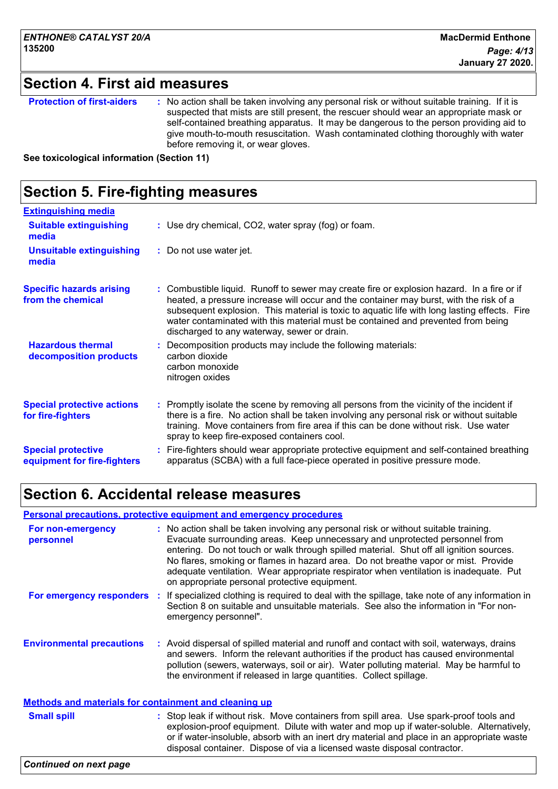# **Section 4. First aid measures**

| <b>Protection of first-aiders</b> | : No action shall be taken involving any personal risk or without suitable training. If it is<br>suspected that mists are still present, the rescuer should wear an appropriate mask or<br>self-contained breathing apparatus. It may be dangerous to the person providing aid to<br>give mouth-to-mouth resuscitation. Wash contaminated clothing thoroughly with water<br>before removing it, or wear gloves. |
|-----------------------------------|-----------------------------------------------------------------------------------------------------------------------------------------------------------------------------------------------------------------------------------------------------------------------------------------------------------------------------------------------------------------------------------------------------------------|
|-----------------------------------|-----------------------------------------------------------------------------------------------------------------------------------------------------------------------------------------------------------------------------------------------------------------------------------------------------------------------------------------------------------------------------------------------------------------|

**See toxicological information (Section 11)**

### **Section 5. Fire-fighting measures :** Promptly isolate the scene by removing all persons from the vicinity of the incident if there is a fire. No action shall be taken involving any personal risk or without suitable training. Move containers from fire area if this can be done without risk. Use water spray to keep fire-exposed containers cool. **Hazardous thermal decomposition products Specific hazards arising from the chemical** Decomposition products may include the following materials: **:** carbon dioxide carbon monoxide nitrogen oxides Combustible liquid. Runoff to sewer may create fire or explosion hazard. In a fire or if **:** heated, a pressure increase will occur and the container may burst, with the risk of a subsequent explosion. This material is toxic to aquatic life with long lasting effects. Fire water contaminated with this material must be contained and prevented from being discharged to any waterway, sewer or drain. Fire-fighters should wear appropriate protective equipment and self-contained breathing **:** apparatus (SCBA) with a full face-piece operated in positive pressure mode. **Special protective equipment for fire-fighters** Use dry chemical, CO2, water spray (fog) or foam. **: Extinguishing media :** Do not use water jet. **Suitable extinguishing media Unsuitable extinguishing media Special protective actions for fire-fighters**

# **Section 6. Accidental release measures**

### **Personal precautions, protective equipment and emergency procedures**

| For non-emergency<br>personnel                               | : No action shall be taken involving any personal risk or without suitable training.<br>Evacuate surrounding areas. Keep unnecessary and unprotected personnel from<br>entering. Do not touch or walk through spilled material. Shut off all ignition sources.<br>No flares, smoking or flames in hazard area. Do not breathe vapor or mist. Provide<br>adequate ventilation. Wear appropriate respirator when ventilation is inadequate. Put<br>on appropriate personal protective equipment. |
|--------------------------------------------------------------|------------------------------------------------------------------------------------------------------------------------------------------------------------------------------------------------------------------------------------------------------------------------------------------------------------------------------------------------------------------------------------------------------------------------------------------------------------------------------------------------|
| For emergency responders :                                   | If specialized clothing is required to deal with the spillage, take note of any information in<br>Section 8 on suitable and unsuitable materials. See also the information in "For non-<br>emergency personnel".                                                                                                                                                                                                                                                                               |
| <b>Environmental precautions</b>                             | : Avoid dispersal of spilled material and runoff and contact with soil, waterways, drains<br>and sewers. Inform the relevant authorities if the product has caused environmental<br>pollution (sewers, waterways, soil or air). Water polluting material. May be harmful to<br>the environment if released in large quantities. Collect spillage.                                                                                                                                              |
| <b>Methods and materials for containment and cleaning up</b> |                                                                                                                                                                                                                                                                                                                                                                                                                                                                                                |
| <b>Small spill</b>                                           | : Stop leak if without risk. Move containers from spill area. Use spark-proof tools and<br>explosion-proof equipment. Dilute with water and mop up if water-soluble. Alternatively,<br>or if water-insoluble, absorb with an inert dry material and place in an appropriate waste<br>disposal container. Dispose of via a licensed waste disposal contractor.                                                                                                                                  |
|                                                              |                                                                                                                                                                                                                                                                                                                                                                                                                                                                                                |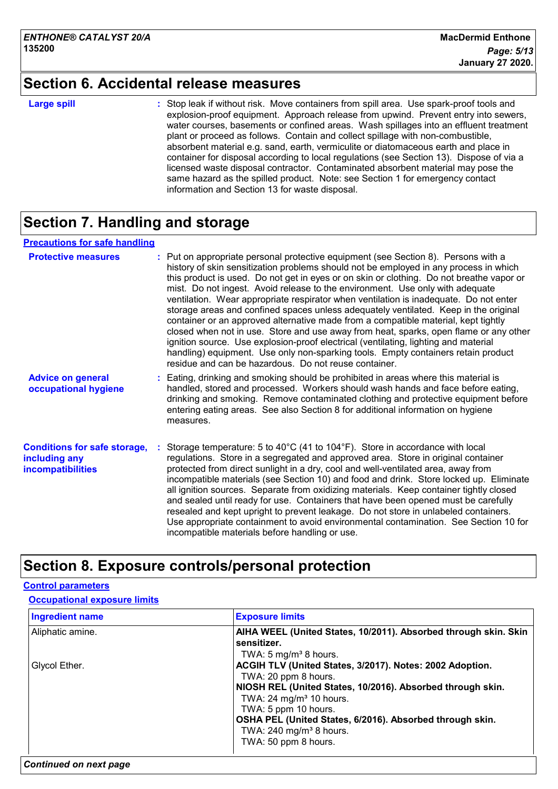# **Section 6. Accidental release measures**

### **Large spill :**

: Stop leak if without risk. Move containers from spill area. Use spark-proof tools and explosion-proof equipment. Approach release from upwind. Prevent entry into sewers, water courses, basements or confined areas. Wash spillages into an effluent treatment plant or proceed as follows. Contain and collect spillage with non-combustible, absorbent material e.g. sand, earth, vermiculite or diatomaceous earth and place in container for disposal according to local regulations (see Section 13). Dispose of via a licensed waste disposal contractor. Contaminated absorbent material may pose the same hazard as the spilled product. Note: see Section 1 for emergency contact information and Section 13 for waste disposal.

# **Section 7. Handling and storage**

### **Precautions for safe handling**

| <b>Protective measures</b>                                                       | : Put on appropriate personal protective equipment (see Section 8). Persons with a<br>history of skin sensitization problems should not be employed in any process in which<br>this product is used. Do not get in eyes or on skin or clothing. Do not breathe vapor or<br>mist. Do not ingest. Avoid release to the environment. Use only with adequate<br>ventilation. Wear appropriate respirator when ventilation is inadequate. Do not enter<br>storage areas and confined spaces unless adequately ventilated. Keep in the original<br>container or an approved alternative made from a compatible material, kept tightly<br>closed when not in use. Store and use away from heat, sparks, open flame or any other<br>ignition source. Use explosion-proof electrical (ventilating, lighting and material<br>handling) equipment. Use only non-sparking tools. Empty containers retain product<br>residue and can be hazardous. Do not reuse container. |
|----------------------------------------------------------------------------------|---------------------------------------------------------------------------------------------------------------------------------------------------------------------------------------------------------------------------------------------------------------------------------------------------------------------------------------------------------------------------------------------------------------------------------------------------------------------------------------------------------------------------------------------------------------------------------------------------------------------------------------------------------------------------------------------------------------------------------------------------------------------------------------------------------------------------------------------------------------------------------------------------------------------------------------------------------------|
| <b>Advice on general</b><br>occupational hygiene                                 | : Eating, drinking and smoking should be prohibited in areas where this material is<br>handled, stored and processed. Workers should wash hands and face before eating,<br>drinking and smoking. Remove contaminated clothing and protective equipment before<br>entering eating areas. See also Section 8 for additional information on hygiene<br>measures.                                                                                                                                                                                                                                                                                                                                                                                                                                                                                                                                                                                                 |
| <b>Conditions for safe storage,</b><br>including any<br><b>incompatibilities</b> | Storage temperature: 5 to 40 $^{\circ}$ C (41 to 104 $^{\circ}$ F). Store in accordance with local<br>regulations. Store in a segregated and approved area. Store in original container<br>protected from direct sunlight in a dry, cool and well-ventilated area, away from<br>incompatible materials (see Section 10) and food and drink. Store locked up. Eliminate<br>all ignition sources. Separate from oxidizing materials. Keep container tightly closed<br>and sealed until ready for use. Containers that have been opened must be carefully<br>resealed and kept upright to prevent leakage. Do not store in unlabeled containers.<br>Use appropriate containment to avoid environmental contamination. See Section 10 for<br>incompatible materials before handling or use.                                                                                                                                                                       |

# **Section 8. Exposure controls/personal protection**

### **Control parameters**

### **Occupational exposure limits**

| <b>Ingredient name</b> | <b>Exposure limits</b>                                          |
|------------------------|-----------------------------------------------------------------|
| Aliphatic amine.       | AIHA WEEL (United States, 10/2011). Absorbed through skin. Skin |
|                        | sensitizer.                                                     |
|                        | TWA: 5 mg/m <sup>3</sup> 8 hours.                               |
| Glycol Ether.          | ACGIH TLV (United States, 3/2017). Notes: 2002 Adoption.        |
|                        | TWA: 20 ppm 8 hours.                                            |
|                        | NIOSH REL (United States, 10/2016). Absorbed through skin.      |
|                        | TWA: $24 \text{ mg/m}^3$ 10 hours.                              |
|                        | TWA: 5 ppm 10 hours.                                            |
|                        | OSHA PEL (United States, 6/2016). Absorbed through skin.        |
|                        | TWA: $240$ mg/m <sup>3</sup> 8 hours.                           |
|                        | TWA: 50 ppm 8 hours.                                            |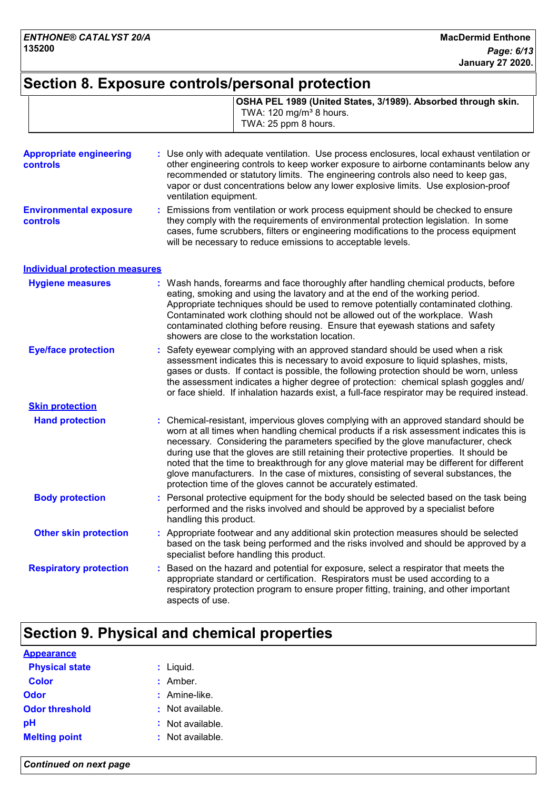# **Section 8. Exposure controls/personal protection**

|                                                   | OSHA PEL 1989 (United States, 3/1989). Absorbed through skin.<br>TWA: 120 mg/m <sup>3</sup> 8 hours.<br>TWA: 25 ppm 8 hours.                                                                                                                                                                                                                                                                                                                                                                                                                                                                                           |
|---------------------------------------------------|------------------------------------------------------------------------------------------------------------------------------------------------------------------------------------------------------------------------------------------------------------------------------------------------------------------------------------------------------------------------------------------------------------------------------------------------------------------------------------------------------------------------------------------------------------------------------------------------------------------------|
| <b>Appropriate engineering</b><br><b>controls</b> | Use only with adequate ventilation. Use process enclosures, local exhaust ventilation or<br>other engineering controls to keep worker exposure to airborne contaminants below any<br>recommended or statutory limits. The engineering controls also need to keep gas,<br>vapor or dust concentrations below any lower explosive limits. Use explosion-proof<br>ventilation equipment.                                                                                                                                                                                                                                  |
| <b>Environmental exposure</b><br><b>controls</b>  | Emissions from ventilation or work process equipment should be checked to ensure<br>÷.<br>they comply with the requirements of environmental protection legislation. In some<br>cases, fume scrubbers, filters or engineering modifications to the process equipment<br>will be necessary to reduce emissions to acceptable levels.                                                                                                                                                                                                                                                                                    |
| <b>Individual protection measures</b>             |                                                                                                                                                                                                                                                                                                                                                                                                                                                                                                                                                                                                                        |
| <b>Hygiene measures</b>                           | : Wash hands, forearms and face thoroughly after handling chemical products, before<br>eating, smoking and using the lavatory and at the end of the working period.<br>Appropriate techniques should be used to remove potentially contaminated clothing.<br>Contaminated work clothing should not be allowed out of the workplace. Wash<br>contaminated clothing before reusing. Ensure that eyewash stations and safety<br>showers are close to the workstation location.                                                                                                                                            |
| <b>Eye/face protection</b>                        | Safety eyewear complying with an approved standard should be used when a risk<br>÷.<br>assessment indicates this is necessary to avoid exposure to liquid splashes, mists,<br>gases or dusts. If contact is possible, the following protection should be worn, unless<br>the assessment indicates a higher degree of protection: chemical splash goggles and/<br>or face shield. If inhalation hazards exist, a full-face respirator may be required instead.                                                                                                                                                          |
| <b>Skin protection</b>                            |                                                                                                                                                                                                                                                                                                                                                                                                                                                                                                                                                                                                                        |
| <b>Hand protection</b>                            | : Chemical-resistant, impervious gloves complying with an approved standard should be<br>worn at all times when handling chemical products if a risk assessment indicates this is<br>necessary. Considering the parameters specified by the glove manufacturer, check<br>during use that the gloves are still retaining their protective properties. It should be<br>noted that the time to breakthrough for any glove material may be different for different<br>glove manufacturers. In the case of mixtures, consisting of several substances, the<br>protection time of the gloves cannot be accurately estimated. |
| <b>Body protection</b>                            | : Personal protective equipment for the body should be selected based on the task being<br>performed and the risks involved and should be approved by a specialist before<br>handling this product.                                                                                                                                                                                                                                                                                                                                                                                                                    |
| <b>Other skin protection</b>                      | Appropriate footwear and any additional skin protection measures should be selected<br>based on the task being performed and the risks involved and should be approved by a<br>specialist before handling this product.                                                                                                                                                                                                                                                                                                                                                                                                |
| <b>Respiratory protection</b>                     | : Based on the hazard and potential for exposure, select a respirator that meets the<br>appropriate standard or certification. Respirators must be used according to a<br>respiratory protection program to ensure proper fitting, training, and other important<br>aspects of use.                                                                                                                                                                                                                                                                                                                                    |

# **Section 9. Physical and chemical properties**

| <b>Appearance</b>     |                  |
|-----------------------|------------------|
| <b>Physical state</b> | $:$ Liquid.      |
| <b>Color</b>          | : Amber.         |
| Odor                  | $:$ Amine-like.  |
| <b>Odor threshold</b> | : Not available. |
| рH                    | : Not available. |
| <b>Melting point</b>  | : Not available. |

*Continued on next page*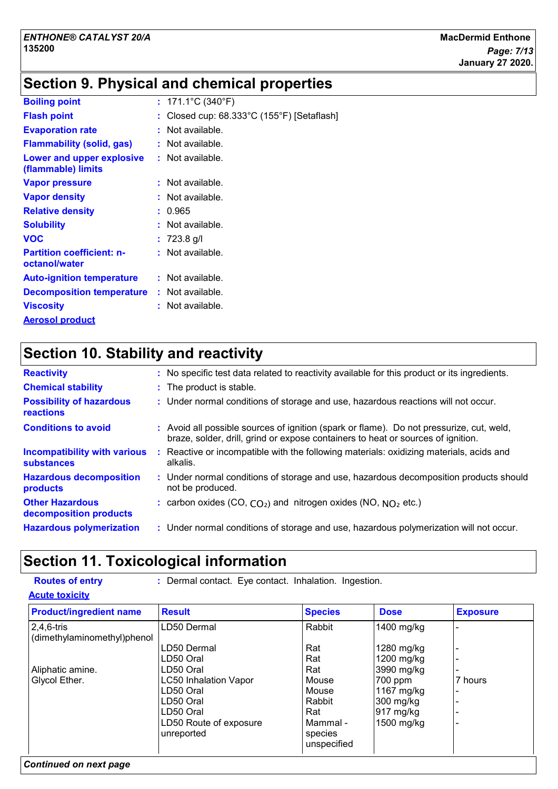# **Section 9. Physical and chemical properties**

| <b>Boiling point</b>                              | : $171.1^{\circ}$ C (340 $^{\circ}$ F)                          |
|---------------------------------------------------|-----------------------------------------------------------------|
| <b>Flash point</b>                                | : Closed cup: $68.333^{\circ}$ C (155 $^{\circ}$ F) [Setaflash] |
| <b>Evaporation rate</b>                           | : Not available.                                                |
| <b>Flammability (solid, gas)</b>                  | : Not available.                                                |
| Lower and upper explosive<br>(flammable) limits   | : Not available.                                                |
| <b>Vapor pressure</b>                             | : Not available.                                                |
| <b>Vapor density</b>                              | : Not available.                                                |
| <b>Relative density</b>                           | : 0.965                                                         |
| <b>Solubility</b>                                 | : Not available.                                                |
| <b>VOC</b>                                        | $: 723.8$ q/l                                                   |
| <b>Partition coefficient: n-</b><br>octanol/water | : Not available.                                                |
| <b>Auto-ignition temperature</b>                  | : Not available.                                                |
| <b>Decomposition temperature</b>                  | : Not available.                                                |
| <b>Viscosity</b>                                  | : Not available.                                                |
| <b>Aerosol product</b>                            |                                                                 |

# **Section 10. Stability and reactivity**

| <b>Reactivity</b>                                        | : No specific test data related to reactivity available for this product or its ingredients.                                                                                 |
|----------------------------------------------------------|------------------------------------------------------------------------------------------------------------------------------------------------------------------------------|
| <b>Chemical stability</b>                                | : The product is stable.                                                                                                                                                     |
| <b>Possibility of hazardous</b><br>reactions             | : Under normal conditions of storage and use, hazardous reactions will not occur.                                                                                            |
| <b>Conditions to avoid</b>                               | : Avoid all possible sources of ignition (spark or flame). Do not pressurize, cut, weld,<br>braze, solder, drill, grind or expose containers to heat or sources of ignition. |
| <b>Incompatibility with various</b><br><b>substances</b> | Reactive or incompatible with the following materials: oxidizing materials, acids and<br>alkalis.                                                                            |
| <b>Hazardous decomposition</b><br>products               | : Under normal conditions of storage and use, hazardous decomposition products should<br>not be produced.                                                                    |
| <b>Other Hazardous</b><br>decomposition products         | : carbon oxides (CO, $CO2$ ) and nitrogen oxides (NO, $NO2$ etc.)                                                                                                            |
| <b>Hazardous polymerization</b>                          | : Under normal conditions of storage and use, hazardous polymerization will not occur.                                                                                       |

# **Section 11. Toxicological information**

**Routes of entry :** Dermal contact. Eye contact. Inhalation. Ingestion.

**Acute toxicity**

| <b>Product/ingredient name</b> | <b>Result</b>                | <b>Species</b> | <b>Dose</b> | <b>Exposure</b> |
|--------------------------------|------------------------------|----------------|-------------|-----------------|
| $2,4,6$ -tris                  | LD50 Dermal                  | Rabbit         | 1400 mg/kg  |                 |
| (dimethylaminomethyl)phenol    |                              |                |             |                 |
|                                | LD50 Dermal                  | Rat            | 1280 mg/kg  |                 |
|                                | LD50 Oral                    | Rat            | 1200 mg/kg  |                 |
| Aliphatic amine.               | LD50 Oral                    | Rat            | 3990 mg/kg  |                 |
| Glycol Ether.                  | <b>LC50 Inhalation Vapor</b> | Mouse          | 700 ppm     | 7 hours         |
|                                | LD50 Oral                    | Mouse          | 1167 mg/kg  |                 |
|                                | LD50 Oral                    | Rabbit         | 300 mg/kg   |                 |
|                                | LD50 Oral                    | Rat            | 917 mg/kg   |                 |
|                                | LD50 Route of exposure       | Mammal -       | 1500 mg/kg  |                 |
|                                | unreported                   | species        |             |                 |
|                                |                              | unspecified    |             |                 |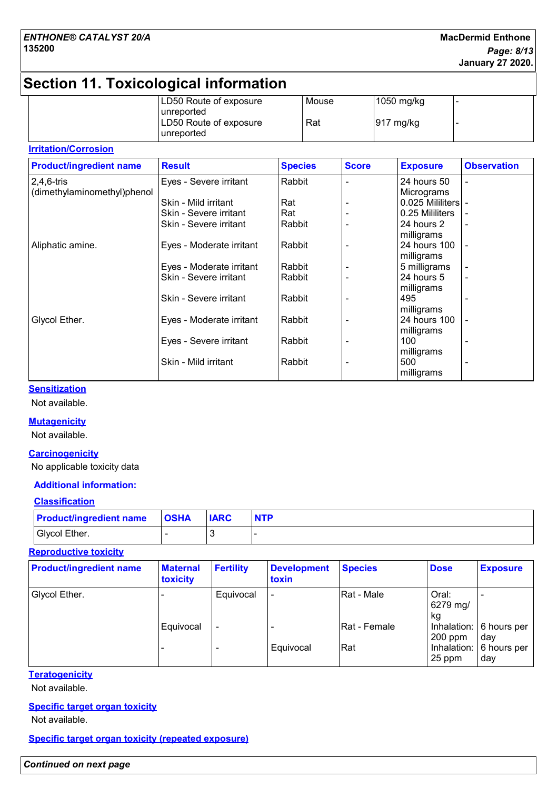# **Section 11. Toxicological information**

| LD50 Route of exposure                               | Mouse | 1050 mg/kg |  |
|------------------------------------------------------|-------|------------|--|
| l unreported<br>LD50 Route of exposure<br>unreported | Rat   | 917 mg/kg  |  |

### **Irritation/Corrosion**

| <b>Product/ingredient name</b> | <b>Result</b>            | <b>Species</b> | <b>Score</b> | <b>Exposure</b>     | <b>Observation</b>       |
|--------------------------------|--------------------------|----------------|--------------|---------------------|--------------------------|
| 2,4,6-tris                     | Eyes - Severe irritant   | Rabbit         |              | 24 hours 50         | $\overline{\phantom{a}}$ |
| (dimethylaminomethyl)phenol    |                          |                |              | Micrograms          |                          |
|                                | Skin - Mild irritant     | Rat            |              | 0.025 Mililiters  - |                          |
|                                | Skin - Severe irritant   | Rat            |              | 0.25 Mililiters     |                          |
|                                | Skin - Severe irritant   | Rabbit         |              | 24 hours 2          |                          |
|                                |                          |                |              | milligrams          |                          |
| Aliphatic amine.               | Eyes - Moderate irritant | Rabbit         |              | 24 hours 100        |                          |
|                                |                          |                |              | milligrams          |                          |
|                                | Eyes - Moderate irritant | Rabbit         |              | 5 milligrams        |                          |
|                                | Skin - Severe irritant   | Rabbit         |              | 24 hours 5          |                          |
|                                |                          |                |              | milligrams          |                          |
|                                | Skin - Severe irritant   | Rabbit         |              | 495                 |                          |
|                                |                          |                |              | milligrams          |                          |
| Glycol Ether.                  | Eyes - Moderate irritant | Rabbit         |              | 24 hours 100        |                          |
|                                |                          |                |              | milligrams          |                          |
|                                | Eyes - Severe irritant   | Rabbit         |              | 100                 |                          |
|                                |                          |                |              | milligrams          |                          |
|                                | Skin - Mild irritant     | Rabbit         |              | 500                 |                          |
|                                |                          |                |              | milligrams          |                          |

### **Sensitization**

Not available.

### **Mutagenicity**

Not available.

### **Carcinogenicity**

No applicable toxicity data

### **Additional information:**

### **Classification**

| <b>Product/ingredient name</b> | <b>OSHA</b> | <b>IARC</b> | <b>NTP</b> |
|--------------------------------|-------------|-------------|------------|
| Glycol Ether.                  |             |             |            |

### **Reproductive toxicity**

| <b>Product/ingredient name</b> | <b>Maternal</b><br>toxicity | <b>Fertility</b>             | <b>Development</b><br>toxin | <b>Species</b> | <b>Dose</b>             | <b>Exposure</b>                        |
|--------------------------------|-----------------------------|------------------------------|-----------------------------|----------------|-------------------------|----------------------------------------|
| Glycol Ether.                  |                             | Equivocal                    | $\overline{\phantom{a}}$    | Rat - Male     | Oral:<br>6279 mg/<br>kg |                                        |
|                                | Equivocal                   | $\qquad \qquad \blacksquare$ | $\overline{\phantom{0}}$    | Rat - Female   | $200$ ppm               | Inhalation: $\vert 6$ hours per<br>dav |
|                                |                             |                              | Equivocal                   | Rat            | Inhalation:<br>25 ppm   | 6 hours per<br>day                     |

### **Teratogenicity**

Not available.

### **Specific target organ toxicity**

Not available.

**Specific target organ toxicity (repeated exposure)**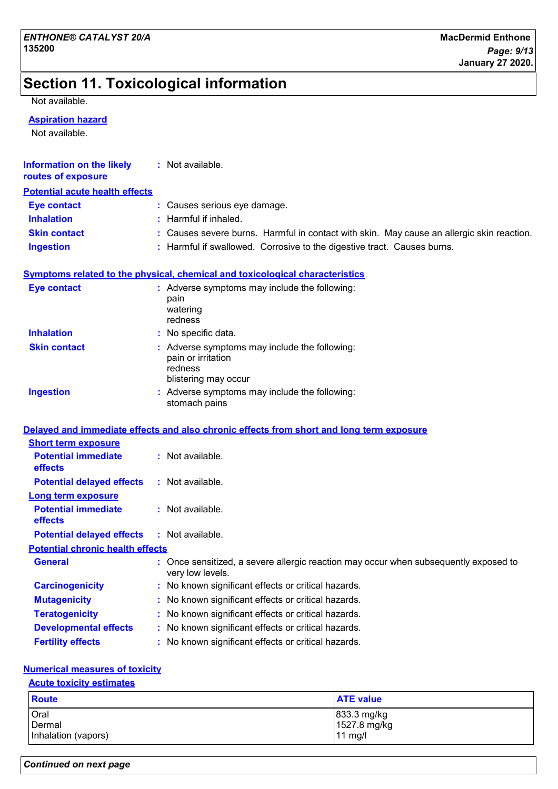# **Section 11. Toxicological information**

Not available.

### **Aspiration hazard**

Not available.

| <b>Information on the likely</b><br>routes of exposure | : Not available.                                                                                       |
|--------------------------------------------------------|--------------------------------------------------------------------------------------------------------|
| <b>Potential acute health effects</b>                  |                                                                                                        |
| <b>Eye contact</b>                                     | : Causes serious eye damage.                                                                           |
| <b>Inhalation</b>                                      | : Harmful if inhaled.                                                                                  |
| <b>Skin contact</b>                                    | : Causes severe burns. Harmful in contact with skin. May cause an allergic skin reaction.              |
| <b>Ingestion</b>                                       | : Harmful if swallowed. Corrosive to the digestive tract. Causes burns.                                |
|                                                        | Symptoms related to the physical, chemical and toxicological characteristics                           |
| <b>Eye contact</b>                                     | : Adverse symptoms may include the following:<br>pain<br>watering<br>redness                           |
| <b>Inhalation</b>                                      | : No specific data.                                                                                    |
| <b>Skin contact</b>                                    | : Adverse symptoms may include the following:<br>pain or irritation<br>redness<br>blistering may occur |
| <b>Ingestion</b>                                       | : Adverse symptoms may include the following:<br>stomach pains                                         |
|                                                        | Delayed and immediate effects and also chronic effects from short and long term exposure               |
| <b>Short term exposure</b>                             |                                                                                                        |
| <b>Potential immediate</b><br>effects                  | : Not available.                                                                                       |
| <b>Potential delayed effects</b>                       | : Not available.                                                                                       |
| <b>Long term exposure</b>                              |                                                                                                        |
| <b>Potential immediate</b><br>effects                  | : Not available.                                                                                       |
| <b>Potential delayed effects</b>                       | : Not available.                                                                                       |
| <b>Potential chronic health effects</b>                |                                                                                                        |
| <b>General</b>                                         | Once sensitized, a severe allergic reaction may occur when subsequently exposed to<br>very low levels. |
| <b>Carcinogenicity</b>                                 | No known significant effects or critical hazards.                                                      |
| <b>Mutagenicity</b>                                    | No known significant effects or critical hazards.                                                      |
| <b>Teratogenicity</b>                                  | No known significant effects or critical hazards.                                                      |
| <b>Developmental effects</b>                           | No known significant effects or critical hazards.                                                      |
| <b>Fertility effects</b>                               | No known significant effects or critical hazards.                                                      |

### **Numerical measures of toxicity**

### **Acute toxicity estimates**

| <b>Route</b>        | <b>ATE value</b> |
|---------------------|------------------|
| Oral                | 833.3 mg/kg      |
| Dermal              | 1527.8 mg/kg     |
| Inhalation (vapors) | $11$ mg/l        |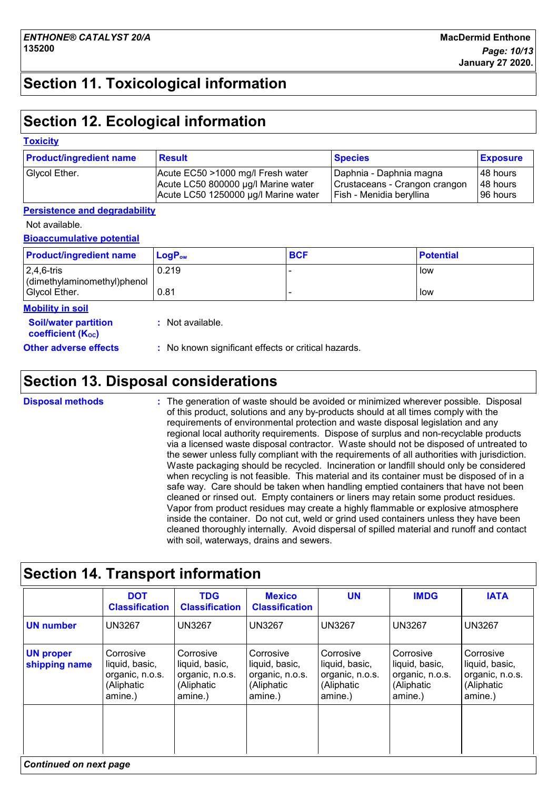# **Section 11. Toxicological information**

# **Section 12. Ecological information**

### **Toxicity**

| <b>Product/ingredient name</b> | <b>Result</b>                        | <b>Species</b>                | <b>Exposure</b> |
|--------------------------------|--------------------------------------|-------------------------------|-----------------|
| Glycol Ether.                  | Acute EC50 >1000 mg/l Fresh water    | Daphnia - Daphnia magna       | 48 hours        |
|                                | Acute LC50 800000 µg/l Marine water  | Crustaceans - Crangon crangon | 48 hours        |
|                                | Acute LC50 1250000 µg/l Marine water | Fish - Menidia beryllina      | 96 hours        |

### **Persistence and degradability**

Not available.

**Bioaccumulative potential**

| <b>Product/ingredient name</b>              | $LogP_{ow}$ | <b>BCF</b> | <b>Potential</b> |
|---------------------------------------------|-------------|------------|------------------|
| $2,4,6$ -tris<br>dimethylaminomethyl)phenol | 0.219       |            | low              |
| Glycol Ether.                               | 0.81        |            | low              |

|  | <b>Mobility in soil</b> |
|--|-------------------------|
|  |                         |

**Soil/water partition coefficient (KOC)**

**:** Not available.

**Other adverse effects :** No known significant effects or critical hazards.

# **Section 13. Disposal considerations**

The generation of waste should be avoided or minimized wherever possible. Disposal of this product, solutions and any by-products should at all times comply with the requirements of environmental protection and waste disposal legislation and any regional local authority requirements. Dispose of surplus and non-recyclable products via a licensed waste disposal contractor. Waste should not be disposed of untreated to the sewer unless fully compliant with the requirements of all authorities with jurisdiction. Waste packaging should be recycled. Incineration or landfill should only be considered when recycling is not feasible. This material and its container must be disposed of in a safe way. Care should be taken when handling emptied containers that have not been cleaned or rinsed out. Empty containers or liners may retain some product residues. Vapor from product residues may create a highly flammable or explosive atmosphere inside the container. Do not cut, weld or grind used containers unless they have been cleaned thoroughly internally. Avoid dispersal of spilled material and runoff and contact with soil, waterways, drains and sewers. **Disposal methods :**

### **Section 14. Transport information Corrosive** liquid, basic, organic, n.o.s. (Aliphatic amine.) **Corrosive** liquid, basic, organic, n.o.s. (Aliphatic amine.) Corrosive liquid, basic, organic, n.o.s. (Aliphatic amine.) UN3267 UN3267 UN3267 **DOT Classification IMDG IATA UN number UN proper shipping name TDG Classification Mexico Classification** UN3267 **Corrosive** liquid, basic, organic, n.o.s. (Aliphatic amine.) UN3267 UN3267 **Corrosive** liquid, basic, organic, n.o.s. (Aliphatic amine.) **UN** UN3267 Corrosive liquid, basic, organic, n.o.s. (Aliphatic amine.) *Continued on next page*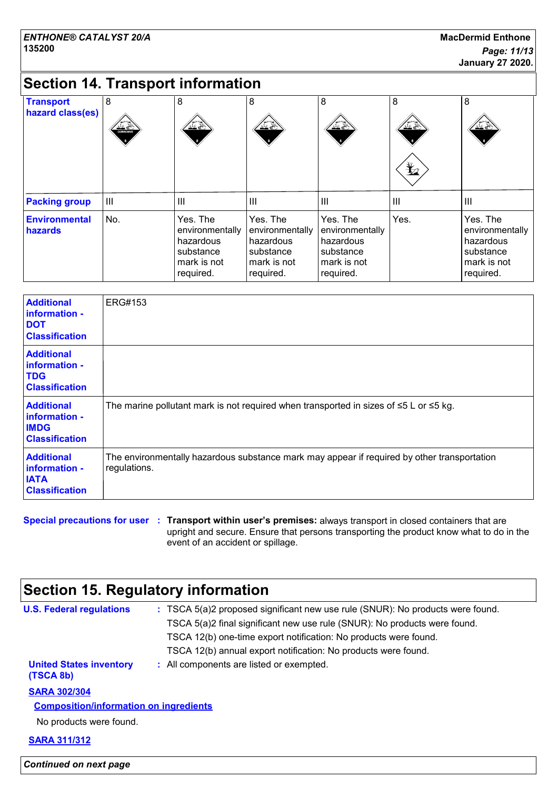# **Section 14. Transport information**

| <b>Transport</b><br>hazard class(es) | 8<br>$rac{1}{\sqrt{2}}$ | 8<br>丝卷                                                                           | 8<br>坐坐                                                                           | 8<br><u>≫ ≚್</u>                                                                  | 8<br>丝卷<br>$\bigstar$ | 8<br>花条                                                                           |
|--------------------------------------|-------------------------|-----------------------------------------------------------------------------------|-----------------------------------------------------------------------------------|-----------------------------------------------------------------------------------|-----------------------|-----------------------------------------------------------------------------------|
| <b>Packing group</b>                 | $\mathbf{III}$          | III                                                                               | $\mathbf{III}$                                                                    | lш                                                                                | $\mathbf{III}$        | $\mathbf{III}$                                                                    |
| <b>Environmental</b><br>hazards      | No.                     | Yes. The<br>environmentally<br>hazardous<br>substance<br>mark is not<br>required. | Yes. The<br>environmentally<br>hazardous<br>substance<br>mark is not<br>required. | Yes. The<br>environmentally<br>hazardous<br>substance<br>mark is not<br>required. | Yes.                  | Yes. The<br>environmentally<br>hazardous<br>substance<br>mark is not<br>required. |

| <b>Additional</b><br>information -<br><b>DOT</b><br><b>Classification</b>  | <b>ERG#153</b>                                                                                              |
|----------------------------------------------------------------------------|-------------------------------------------------------------------------------------------------------------|
| <b>Additional</b><br>information -<br><b>TDG</b><br><b>Classification</b>  |                                                                                                             |
| <b>Additional</b><br>information -<br><b>IMDG</b><br><b>Classification</b> | The marine pollutant mark is not required when transported in sizes of $\leq 5$ L or $\leq 5$ kg.           |
| <b>Additional</b><br>information -<br><b>IATA</b><br><b>Classification</b> | The environmentally hazardous substance mark may appear if required by other transportation<br>regulations. |

### **Special precautions for user Transport within user's premises:** always transport in closed containers that are **:** upright and secure. Ensure that persons transporting the product know what to do in the event of an accident or spillage.

# **Section 15. Regulatory information**

| <b>U.S. Federal regulations</b>               | : TSCA 5(a)2 proposed significant new use rule (SNUR): No products were found. |
|-----------------------------------------------|--------------------------------------------------------------------------------|
|                                               | TSCA 5(a)2 final significant new use rule (SNUR): No products were found.      |
|                                               | TSCA 12(b) one-time export notification: No products were found.               |
|                                               | TSCA 12(b) annual export notification: No products were found.                 |
| <b>United States inventory</b><br>(TSCA 8b)   | : All components are listed or exempted.                                       |
| <b>SARA 302/304</b>                           |                                                                                |
| <b>Composition/information on ingredients</b> |                                                                                |
| No products were found.                       |                                                                                |
| <b>SARA 311/312</b>                           |                                                                                |
|                                               |                                                                                |

*Continued on next page*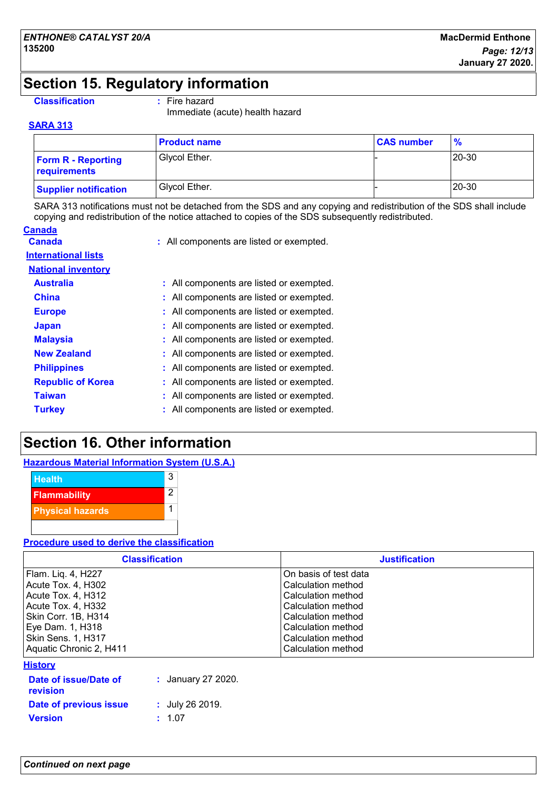# **Section 15. Regulatory information**

### **Classification :** Fire hazard

Immediate (acute) health hazard

### **SARA 313**

|                                           | <b>Product name</b> | <b>CAS number</b> | $\frac{9}{6}$ |
|-------------------------------------------|---------------------|-------------------|---------------|
| <b>Form R - Reporting</b><br>requirements | Glycol Ether.       |                   | 20-30         |
| <b>Supplier notification</b>              | Glycol Ether.       |                   | 20-30         |

SARA 313 notifications must not be detached from the SDS and any copying and redistribution of the SDS shall include copying and redistribution of the notice attached to copies of the SDS subsequently redistributed.

| Canada                     |                                          |
|----------------------------|------------------------------------------|
| Canada                     | : All components are listed or exempted. |
| <b>International lists</b> |                                          |
| <b>National inventory</b>  |                                          |
| <b>Australia</b>           | : All components are listed or exempted. |
| China                      | : All components are listed or exempted. |
| <b>Europe</b>              | : All components are listed or exempted. |
| <b>Japan</b>               | : All components are listed or exempted. |
| <b>Malaysia</b>            | All components are listed or exempted.   |
| <b>New Zealand</b>         | : All components are listed or exempted. |
| <b>Philippines</b>         | : All components are listed or exempted. |
| <b>Republic of Korea</b>   | : All components are listed or exempted. |
| Taiwan                     | All components are listed or exempted.   |
| <b>Turkey</b>              | : All components are listed or exempted. |
|                            |                                          |

# **Section 16. Other information**

| <b>Hazardous Material Information System (U.S.A.)</b> |
|-------------------------------------------------------|
|-------------------------------------------------------|



### **Procedure used to derive the classification**

| <b>Classification</b>   | <b>Justification</b>      |
|-------------------------|---------------------------|
| Flam. Liq. 4, H227      | On basis of test data     |
| Acute Tox. 4, H302      | Calculation method        |
| Acute Tox. 4, H312      | <b>Calculation method</b> |
| Acute Tox. 4, H332      | Calculation method        |
| Skin Corr. 1B, H314     | Calculation method        |
| Eye Dam. 1, H318        | Calculation method        |
| Skin Sens. 1, H317      | Calculation method        |
| Aquatic Chronic 2, H411 | Calculation method        |

**History**

| Date of issue/Date of<br>revision | : January 27 2020. |
|-----------------------------------|--------------------|
| Date of previous issue            | : $July 26 2019.$  |
| <b>Version</b>                    | $\pm$ 1.07         |